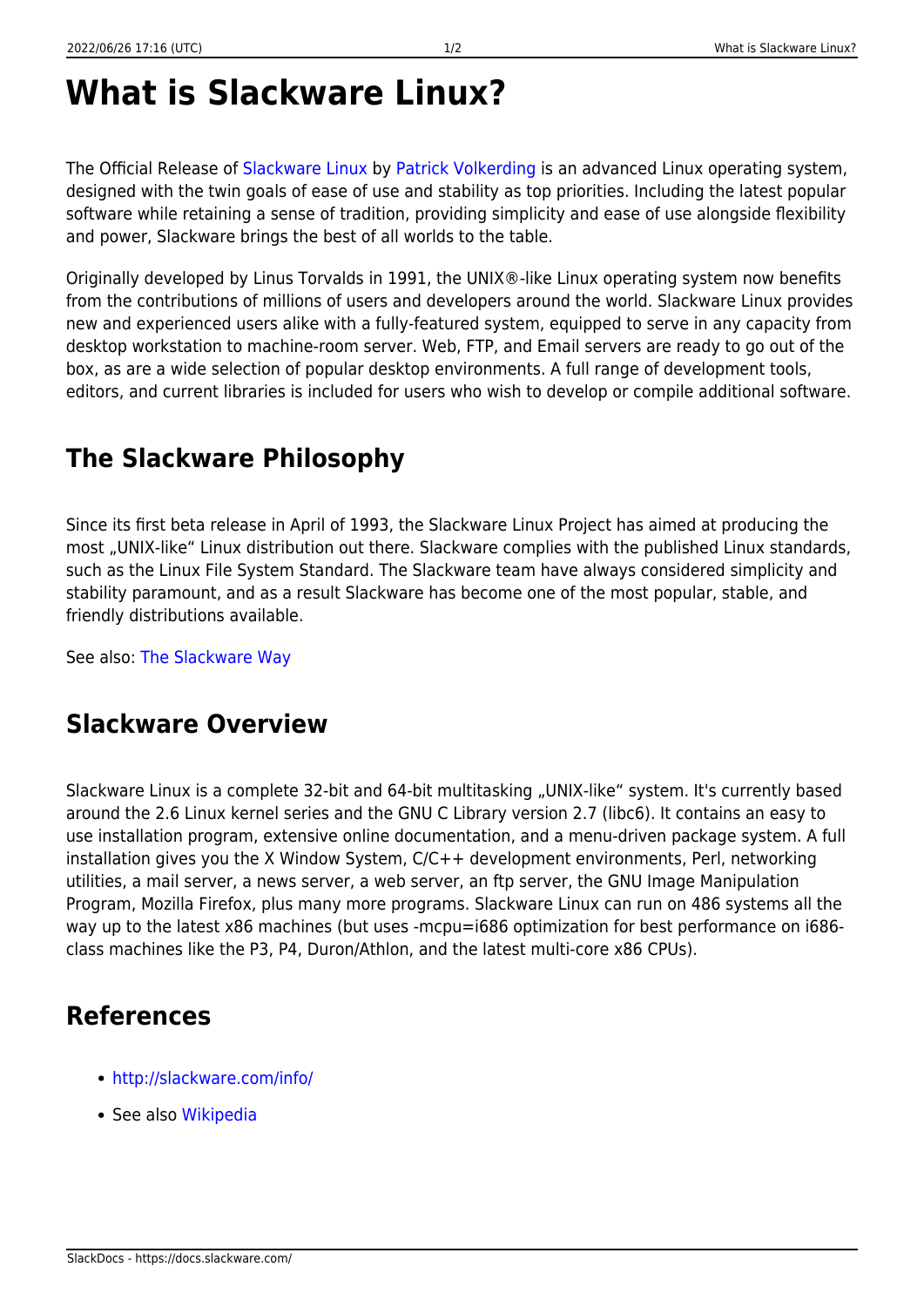# **What is Slackware Linux?**

The Official Release of [Slackware Linux](http://slackware.com/) by [Patrick Volkerding](http://en.wikipedia.org/wiki/Patrick_Volkerding) is an advanced Linux operating system, designed with the twin goals of ease of use and stability as top priorities. Including the latest popular software while retaining a sense of tradition, providing simplicity and ease of use alongside flexibility and power, Slackware brings the best of all worlds to the table.

Originally developed by Linus Torvalds in 1991, the UNIX®-like Linux operating system now benefits from the contributions of millions of users and developers around the world. Slackware Linux provides new and experienced users alike with a fully-featured system, equipped to serve in any capacity from desktop workstation to machine-room server. Web, FTP, and Email servers are ready to go out of the box, as are a wide selection of popular desktop environments. A full range of development tools, editors, and current libraries is included for users who wish to develop or compile additional software.

## **The Slackware Philosophy**

Since its first beta release in April of 1993, the Slackware Linux Project has aimed at producing the most "UNIX-like" Linux distribution out there. Slackware complies with the published Linux standards, such as the Linux File System Standard. The Slackware team have always considered simplicity and stability paramount, and as a result Slackware has become one of the most popular, stable, and friendly distributions available.

See also: [The Slackware Way](https://docs.slackware.com/slackware:philosophy)

#### **Slackware Overview**

Slackware Linux is a complete 32-bit and 64-bit multitasking "UNIX-like" system. It's currently based around the 2.6 Linux kernel series and the GNU C Library version 2.7 (libc6). It contains an easy to use installation program, extensive online documentation, and a menu-driven package system. A full installation gives you the X Window System, C/C++ development environments, Perl, networking utilities, a mail server, a news server, a web server, an ftp server, the GNU Image Manipulation Program, Mozilla Firefox, plus many more programs. Slackware Linux can run on 486 systems all the way up to the latest x86 machines (but uses -mcpu=i686 optimization for best performance on i686class machines like the P3, P4, Duron/Athlon, and the latest multi-core x86 CPUs).

#### **References**

- <http://slackware.com/info/>
- See also [Wikipedia](http://wikipedia.org/wiki/Slackware)